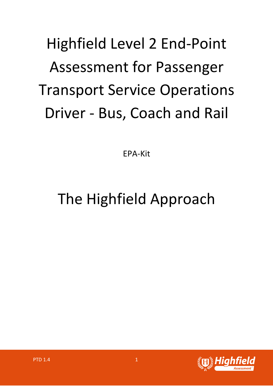# Highfield Level 2 End-Point Assessment for Passenger Transport Service Operations Driver - Bus, Coach and Rail

EPA-Kit

## The Highfield Approach

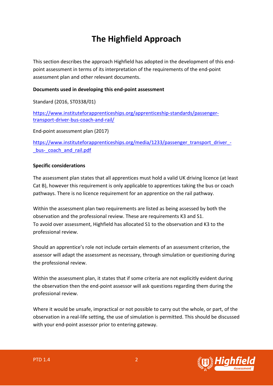## **The Highfield Approach**

This section describes the approach Highfield has adopted in the development of this endpoint assessment in terms of its interpretation of the requirements of the end-point assessment plan and other relevant documents.

### **Documents used in developing this end-point assessment**

Standard (2016, ST0338/01)

https://www.instituteforapprenticeships.org/apprenticeship-standards/passengertransport-driver-bus-coach-and-rail/

End-point assessment plan (2017)

https://www.instituteforapprenticeships.org/media/1233/passenger\_transport\_driver\_bus-coach and rail.pdf

### **Specific considerations**

The assessment plan states that all apprentices must hold a valid UK driving licence (at least Cat B), however this requirement is only applicable to apprentices taking the bus or coach pathways. There is no licence requirement for an apprentice on the rail pathway.

Within the assessment plan two requirements are listed as being assessed by both the observation and the professional review. These are requirements K3 and S1. To avoid over assessment, Highfield has allocated S1 to the observation and K3 to the professional review.

Should an apprentice's role not include certain elements of an assessment criterion, the assessor will adapt the assessment as necessary, through simulation or questioning during the professional review.

Within the assessment plan, it states that if some criteria are not explicitly evident during the observation then the end-point assessor will ask questions regarding them during the professional review.

Where it would be unsafe, impractical or not possible to carry out the whole, or part, of the observation in a real-life setting, the use of simulation is permitted. This should be discussed with your end-point assessor prior to entering gateway.